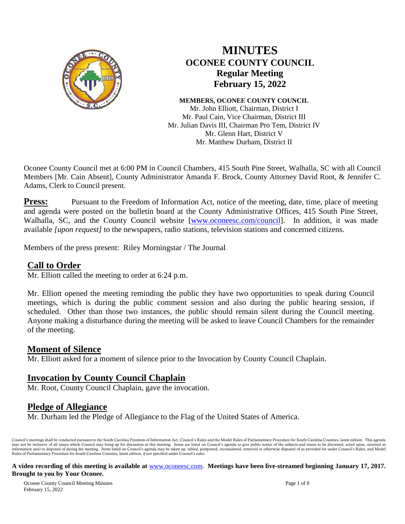

# **MINUTES OCONEE COUNTY COUNCIL Regular Meeting February 15, 2022**

**MEMBERS, OCONEE COUNTY COUNCIL** Mr. John Elliott, Chairman, District I

Mr. Paul Cain, Vice Chairman, District III Mr. Julian Davis III, Chairman Pro Tem, District IV Mr. Glenn Hart, District V Mr. Matthew Durham, District II

Oconee County Council met at 6:00 PM in Council Chambers, 415 South Pine Street, Walhalla, SC with all Council Members [Mr. Cain Absent], County Administrator Amanda F. Brock, County Attorney David Root, & Jennifer C. Adams, Clerk to Council present.

**Press:** Pursuant to the Freedom of Information Act, notice of the meeting, date, time, place of meeting and agenda were posted on the bulletin board at the County Administrative Offices, 415 South Pine Street, Walhalla, SC, and the County Council website [\[www.oconeesc.com/council\]](http://www.oconeesc.com/council). In addition, it was made available *[upon request]* to the newspapers, radio stations, television stations and concerned citizens.

Members of the press present: Riley Morningstar / The Journal

# **Call to Order**

Mr. Elliott called the meeting to order at 6:24 p.m.

Mr. Elliott opened the meeting reminding the public they have two opportunities to speak during Council meetings, which is during the public comment session and also during the public hearing session, if scheduled. Other than those two instances, the public should remain silent during the Council meeting. Anyone making a disturbance during the meeting will be asked to leave Council Chambers for the remainder of the meeting.

## **Moment of Silence**

Mr. Elliott asked for a moment of silence prior to the Invocation by County Council Chaplain.

# **Invocation by County Council Chaplain**

Mr. Root, County Council Chaplain, gave the invocation.

# **Pledge of Allegiance**

Mr. Durham led the Pledge of Allegiance to the Flag of the United States of America.

Council's meetings shall be conducted pursuant to the South Carolina Freedom of Information Act, Council's Rules and the Model Rules of Parliamentary Procedure for South Carolina Counties, latest edition. This agenda may not be inclusive of all issues which Council may bring up for discussion at this meeting. Items are listed on Council's agenda to give public notice of the subjects and issues to be discussed, acted upon, received as<br>i Rules of Parliamentary Procedure for South Carolina Counties, latest edition, if not specified under Council's rules.

#### **A video recording of this meeting is available at** [www.oconeesc.com.](http://www.oconeesc.com/) **Meetings have been live-streamed beginning January 17, 2017. Brought to you by Your Oconee.**

Oconee County Council Meeting Minutes Page 1 of 8 February 15, 2022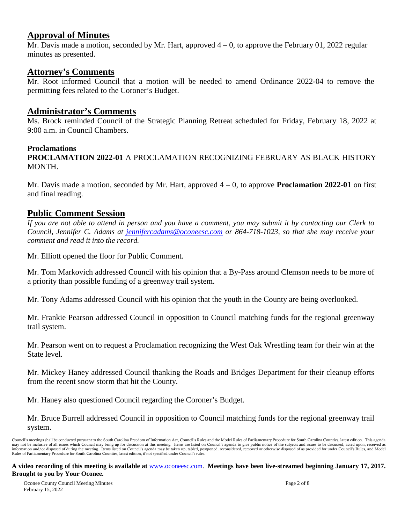## **Approval of Minutes**

Mr. Davis made a motion, seconded by Mr. Hart, approved  $4 - 0$ , to approve the February 01, 2022 regular minutes as presented.

## **Attorney's Comments**

Mr. Root informed Council that a motion will be needed to amend Ordinance 2022-04 to remove the permitting fees related to the Coroner's Budget.

### **Administrator's Comments**

Ms. Brock reminded Council of the Strategic Planning Retreat scheduled for Friday, February 18, 2022 at 9:00 a.m. in Council Chambers.

#### **Proclamations**

**PROCLAMATION 2022-01** A PROCLAMATION RECOGNIZING FEBRUARY AS BLACK HISTORY MONTH.

Mr. Davis made a motion, seconded by Mr. Hart, approved 4 – 0, to approve **Proclamation 2022-01** on first and final reading.

## **Public Comment Session**

*If you are not able to attend in person and you have a comment, you may submit it by contacting our Clerk to Council, Jennifer C. Adams at jennifercadams@oconeesc.com or 864-718-1023, so that she may receive your comment and read it into the record.* 

Mr. Elliott opened the floor for Public Comment.

Mr. Tom Markovich addressed Council with his opinion that a By-Pass around Clemson needs to be more of a priority than possible funding of a greenway trail system.

Mr. Tony Adams addressed Council with his opinion that the youth in the County are being overlooked.

Mr. Frankie Pearson addressed Council in opposition to Council matching funds for the regional greenway trail system.

Mr. Pearson went on to request a Proclamation recognizing the West Oak Wrestling team for their win at the State level.

Mr. Mickey Haney addressed Council thanking the Roads and Bridges Department for their cleanup efforts from the recent snow storm that hit the County.

Mr. Haney also questioned Council regarding the Coroner's Budget.

Mr. Bruce Burrell addressed Council in opposition to Council matching funds for the regional greenway trail system.

Council's meetings shall be conducted pursuant to the South Carolina Freedom of Information Act, Council's Rules and the Model Rules of Parliamentary Procedure for South Carolina Counties, latest edition. This agenda may not be inclusive of all issues which Council may bring up for discussion at this meeting. Items are listed on Council's agenda to give public notice of the subjects and issues to be discussed, acted upon, received as<br>i Rules of Parliamentary Procedure for South Carolina Counties, latest edition, if not specified under Council's rules.

#### **A video recording of this meeting is available at** [www.oconeesc.com.](http://www.oconeesc.com/) **Meetings have been live-streamed beginning January 17, 2017. Brought to you by Your Oconee.**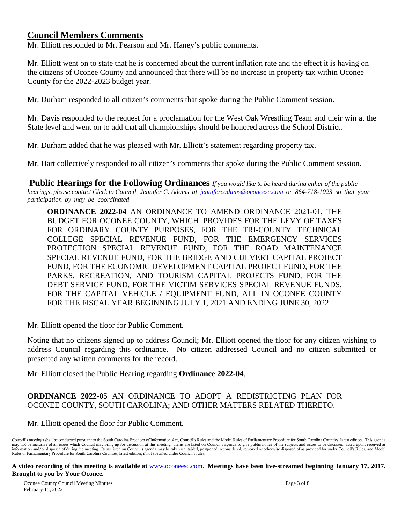## **Council Members Comments**

Mr. Elliott responded to Mr. Pearson and Mr. Haney's public comments.

Mr. Elliott went on to state that he is concerned about the current inflation rate and the effect it is having on the citizens of Oconee County and announced that there will be no increase in property tax within Oconee County for the 2022-2023 budget year.

Mr. Durham responded to all citizen's comments that spoke during the Public Comment session.

Mr. Davis responded to the request for a proclamation for the West Oak Wrestling Team and their win at the State level and went on to add that all championships should be honored across the School District.

Mr. Durham added that he was pleased with Mr. Elliott's statement regarding property tax.

Mr. Hart collectively responded to all citizen's comments that spoke during the Public Comment session.

**Public Hearings for the Following Ordinances** *If you would like to be heard during either of the public hearings, please contact Clerk to Council Jennifer C. Adams at [jennifercadams@oconeesc.com](mailto:jennifercadams@oconeesc.com) or 864-718-1023 so that your participation by may be coordinated*

**ORDINANCE 2022-04** AN ORDINANCE TO AMEND ORDINANCE 2021-01, THE BUDGET FOR OCONEE COUNTY, WHICH PROVIDES FOR THE LEVY OF TAXES FOR ORDINARY COUNTY PURPOSES, FOR THE TRI-COUNTY TECHNICAL COLLEGE SPECIAL REVENUE FUND, FOR THE EMERGENCY SERVICES PROTECTION SPECIAL REVENUE FUND, FOR THE ROAD MAINTENANCE SPECIAL REVENUE FUND, FOR THE BRIDGE AND CULVERT CAPITAL PROJECT FUND, FOR THE ECONOMIC DEVELOPMENT CAPITAL PROJECT FUND, FOR THE PARKS, RECREATION, AND TOURISM CAPITAL PROJECTS FUND, FOR THE DEBT SERVICE FUND, FOR THE VICTIM SERVICES SPECIAL REVENUE FUNDS, FOR THE CAPITAL VEHICLE / EQUIPMENT FUND, ALL IN OCONEE COUNTY FOR THE FISCAL YEAR BEGINNING JULY 1, 2021 AND ENDING JUNE 30, 2022.

Mr. Elliott opened the floor for Public Comment.

Noting that no citizens signed up to address Council; Mr. Elliott opened the floor for any citizen wishing to address Council regarding this ordinance. No citizen addressed Council and no citizen submitted or presented any written comments for the record.

Mr. Elliott closed the Public Hearing regarding **Ordinance 2022-04**.

#### **ORDINANCE 2022-05** AN ORDINANCE TO ADOPT A REDISTRICTING PLAN FOR OCONEE COUNTY, SOUTH CAROLINA; AND OTHER MATTERS RELATED THERETO.

Mr. Elliott opened the floor for Public Comment.

Council's meetings shall be conducted pursuant to the South Carolina Freedom of Information Act, Council's Rules and the Model Rules of Parliamentary Procedure for South Carolina Counties, latest edition. This agenda may not be inclusive of all issues which Council may bring up for discussion at this meeting. Items are listed on Council's agenda to give public notice of the subjects and issues to be discussed, acted upon, received as<br>i Rules of Parliamentary Procedure for South Carolina Counties, latest edition, if not specified under Council's rules.

#### **A video recording of this meeting is available at** [www.oconeesc.com.](http://www.oconeesc.com/) **Meetings have been live-streamed beginning January 17, 2017. Brought to you by Your Oconee.**

Oconee County Council Meeting Minutes Page 3 of 8 February 15, 2022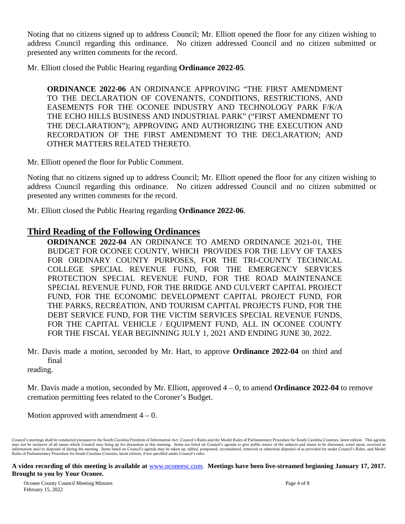Noting that no citizens signed up to address Council; Mr. Elliott opened the floor for any citizen wishing to address Council regarding this ordinance. No citizen addressed Council and no citizen submitted or presented any written comments for the record.

Mr. Elliott closed the Public Hearing regarding **Ordinance 2022-05**.

**ORDINANCE 2022-06** AN ORDINANCE APPROVING "THE FIRST AMENDMENT TO THE DECLARATION OF COVENANTS, CONDITIONS, RESTRICTIONS, AND EASEMENTS FOR THE OCONEE INDUSTRY AND TECHNOLOGY PARK F/K/A THE ECHO HILLS BUSINESS AND INDUSTRIAL PARK" ("FIRST AMENDMENT TO THE DECLARATION"); APPROVING AND AUTHORIZING THE EXECUTION AND RECORDATION OF THE FIRST AMENDMENT TO THE DECLARATION; AND OTHER MATTERS RELATED THERETO.

Mr. Elliott opened the floor for Public Comment.

Noting that no citizens signed up to address Council; Mr. Elliott opened the floor for any citizen wishing to address Council regarding this ordinance. No citizen addressed Council and no citizen submitted or presented any written comments for the record.

Mr. Elliott closed the Public Hearing regarding **Ordinance 2022-06**.

### **Third Reading of the Following Ordinances**

 **ORDINANCE 2022-04** AN ORDINANCE TO AMEND ORDINANCE 2021-01, THE BUDGET FOR OCONEE COUNTY, WHICH PROVIDES FOR THE LEVY OF TAXES FOR ORDINARY COUNTY PURPOSES, FOR THE TRI-COUNTY TECHNICAL COLLEGE SPECIAL REVENUE FUND, FOR THE EMERGENCY SERVICES PROTECTION SPECIAL REVENUE FUND, FOR THE ROAD MAINTENANCE SPECIAL REVENUE FUND, FOR THE BRIDGE AND CULVERT CAPITAL PROJECT FUND, FOR THE ECONOMIC DEVELOPMENT CAPITAL PROJECT FUND, FOR THE PARKS, RECREATION, AND TOURISM CAPITAL PROJECTS FUND, FOR THE DEBT SERVICE FUND, FOR THE VICTIM SERVICES SPECIAL REVENUE FUNDS, FOR THE CAPITAL VEHICLE / EQUIPMENT FUND, ALL IN OCONEE COUNTY FOR THE FISCAL YEAR BEGINNING JULY 1, 2021 AND ENDING JUNE 30, 2022.

Mr. Davis made a motion, seconded by Mr. Hart, to approve **Ordinance 2022-04** on third and final

reading.

Mr. Davis made a motion, seconded by Mr. Elliott, approved 4 – 0, to amend **Ordinance 2022-04** to remove cremation permitting fees related to the Coroner's Budget.

Motion approved with amendment  $4 - 0$ .

Council's meetings shall be conducted pursuant to the South Carolina Freedom of Information Act, Council's Rules and the Model Rules of Parliamentary Procedure for South Carolina Counties, latest edition. This agenda may not be inclusive of all issues which Council may bring up for discussion at this meeting. Items are listed on Council's agenda to give public notice of the subjects and issues to be discussed, acted upon, received as<br>i Rules of Parliamentary Procedure for South Carolina Counties, latest edition, if not specified under Council's rules.

**A video recording of this meeting is available at** [www.oconeesc.com.](http://www.oconeesc.com/) **Meetings have been live-streamed beginning January 17, 2017. Brought to you by Your Oconee.**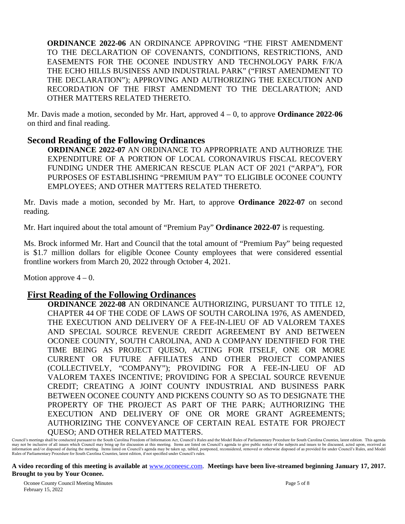**ORDINANCE 2022-06** AN ORDINANCE APPROVING "THE FIRST AMENDMENT TO THE DECLARATION OF COVENANTS, CONDITIONS, RESTRICTIONS, AND EASEMENTS FOR THE OCONEE INDUSTRY AND TECHNOLOGY PARK F/K/A THE ECHO HILLS BUSINESS AND INDUSTRIAL PARK" ("FIRST AMENDMENT TO THE DECLARATION"); APPROVING AND AUTHORIZING THE EXECUTION AND RECORDATION OF THE FIRST AMENDMENT TO THE DECLARATION; AND OTHER MATTERS RELATED THERETO.

Mr. Davis made a motion, seconded by Mr. Hart, approved 4 – 0, to approve **Ordinance 2022-06** on third and final reading.

## **Second Reading of the Following Ordinances**

**ORDINANCE 2022-07** AN ORDINANCE TO APPROPRIATE AND AUTHORIZE THE EXPENDITURE OF A PORTION OF LOCAL CORONAVIRUS FISCAL RECOVERY FUNDING UNDER THE AMERICAN RESCUE PLAN ACT OF 2021 ("ARPA"), FOR PURPOSES OF ESTABLISHING "PREMIUM PAY" TO ELIGIBLE OCONEE COUNTY EMPLOYEES; AND OTHER MATTERS RELATED THERETO.

Mr. Davis made a motion, seconded by Mr. Hart, to approve **Ordinance 2022-07** on second reading.

Mr. Hart inquired about the total amount of "Premium Pay" **Ordinance 2022-07** is requesting.

Ms. Brock informed Mr. Hart and Council that the total amount of "Premium Pay" being requested is \$1.7 million dollars for eligible Oconee County employees that were considered essential frontline workers from March 20, 2022 through October 4, 2021.

Motion approve  $4 - 0$ .

## **First Reading of the Following Ordinances**

**ORDINANCE 2022-08** AN ORDINANCE AUTHORIZING, PURSUANT TO TITLE 12, CHAPTER 44 OF THE CODE OF LAWS OF SOUTH CAROLINA 1976, AS AMENDED, THE EXECUTION AND DELIVERY OF A FEE-IN-LIEU OF AD VALOREM TAXES AND SPECIAL SOURCE REVENUE CREDIT AGREEMENT BY AND BETWEEN OCONEE COUNTY, SOUTH CAROLINA, AND A COMPANY IDENTIFIED FOR THE TIME BEING AS PROJECT QUESO, ACTING FOR ITSELF, ONE OR MORE CURRENT OR FUTURE AFFILIATES AND OTHER PROJECT COMPANIES (COLLECTIVELY, "COMPANY"); PROVIDING FOR A FEE-IN-LIEU OF AD VALOREM TAXES INCENTIVE; PROVIDING FOR A SPECIAL SOURCE REVENUE CREDIT; CREATING A JOINT COUNTY INDUSTRIAL AND BUSINESS PARK BETWEEN OCONEE COUNTY AND PICKENS COUNTY SO AS TO DESIGNATE THE PROPERTY OF THE PROJECT AS PART OF THE PARK; AUTHORIZING THE EXECUTION AND DELIVERY OF ONE OR MORE GRANT AGREEMENTS; AUTHORIZING THE CONVEYANCE OF CERTAIN REAL ESTATE FOR PROJECT QUESO; AND OTHER RELATED MATTERS.

**A video recording of this meeting is available at** [www.oconeesc.com.](http://www.oconeesc.com/) **Meetings have been live-streamed beginning January 17, 2017. Brought to you by Your Oconee.**

Council's meetings shall be conducted pursuant to the South Carolina Freedom of Information Act, Council's Rules and the Model Rules of Parliamentary Procedure for South Carolina Counties, latest edition. This agenda may not be inclusive of all issues which Council may bring up for discussion at this meeting. Items are listed on Council's agenda to give public notice of the subjects and issues to be discussed, acted upon, received as<br>i Rules of Parliamentary Procedure for South Carolina Counties, latest edition, if not specified under Council's rules.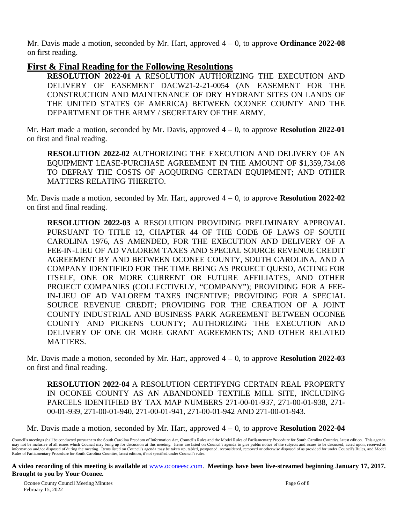Mr. Davis made a motion, seconded by Mr. Hart, approved 4 – 0, to approve **Ordinance 2022-08** on first reading.

## **First & Final Reading for the Following Resolutions**

**RESOLUTION 2022-01** A RESOLUTION AUTHORIZING THE EXECUTION AND DELIVERY OF EASEMENT DACW21-2-21-0054 (AN EASEMENT FOR THE CONSTRUCTION AND MAINTENANCE OF DRY HYDRANT SITES ON LANDS OF THE UNITED STATES OF AMERICA) BETWEEN OCONEE COUNTY AND THE DEPARTMENT OF THE ARMY / SECRETARY OF THE ARMY.

Mr. Hart made a motion, seconded by Mr. Davis, approved 4 – 0, to approve **Resolution 2022-01** on first and final reading.

**RESOLUTION 2022-02** AUTHORIZING THE EXECUTION AND DELIVERY OF AN EQUIPMENT LEASE-PURCHASE AGREEMENT IN THE AMOUNT OF \$1,359,734.08 TO DEFRAY THE COSTS OF ACQUIRING CERTAIN EQUIPMENT; AND OTHER MATTERS RELATING THERETO.

Mr. Davis made a motion, seconded by Mr. Hart, approved  $4 - 0$ , to approve **Resolution 2022-02** on first and final reading.

**RESOLUTION 2022-03** A RESOLUTION PROVIDING PRELIMINARY APPROVAL PURSUANT TO TITLE 12, CHAPTER 44 OF THE CODE OF LAWS OF SOUTH CAROLINA 1976, AS AMENDED, FOR THE EXECUTION AND DELIVERY OF A FEE-IN-LIEU OF AD VALOREM TAXES AND SPECIAL SOURCE REVENUE CREDIT AGREEMENT BY AND BETWEEN OCONEE COUNTY, SOUTH CAROLINA, AND A COMPANY IDENTIFIED FOR THE TIME BEING AS PROJECT QUESO, ACTING FOR ITSELF, ONE OR MORE CURRENT OR FUTURE AFFILIATES, AND OTHER PROJECT COMPANIES (COLLECTIVELY, "COMPANY"); PROVIDING FOR A FEE-IN-LIEU OF AD VALOREM TAXES INCENTIVE; PROVIDING FOR A SPECIAL SOURCE REVENUE CREDIT; PROVIDING FOR THE CREATION OF A JOINT COUNTY INDUSTRIAL AND BUSINESS PARK AGREEMENT BETWEEN OCONEE COUNTY AND PICKENS COUNTY; AUTHORIZING THE EXECUTION AND DELIVERY OF ONE OR MORE GRANT AGREEMENTS; AND OTHER RELATED MATTERS.

Mr. Davis made a motion, seconded by Mr. Hart, approved 4 – 0, to approve **Resolution 2022-03** on first and final reading.

**RESOLUTION 2022-04** A RESOLUTION CERTIFYING CERTAIN REAL PROPERTY IN OCONEE COUNTY AS AN ABANDONED TEXTILE MILL SITE, INCLUDING PARCELS IDENTIFIED BY TAX MAP NUMBERS 271-00-01-937, 271-00-01-938, 271- 00-01-939, 271-00-01-940, 271-00-01-941, 271-00-01-942 AND 271-00-01-943.

Mr. Davis made a motion, seconded by Mr. Hart, approved 4 – 0, to approve **Resolution 2022-04**

Council's meetings shall be conducted pursuant to the South Carolina Freedom of Information Act, Council's Rules and the Model Rules of Parliamentary Procedure for South Carolina Counties, latest edition. This agenda may not be inclusive of all issues which Council may bring up for discussion at this meeting. Items are listed on Council's agenda to give public notice of the subjects and issues to be discussed, acted upon, received as<br>i Rules of Parliamentary Procedure for South Carolina Counties, latest edition, if not specified under Council's rules.

**A video recording of this meeting is available at** [www.oconeesc.com.](http://www.oconeesc.com/) **Meetings have been live-streamed beginning January 17, 2017. Brought to you by Your Oconee.**

Oconee County Council Meeting Minutes Page 6 of 8 February 15, 2022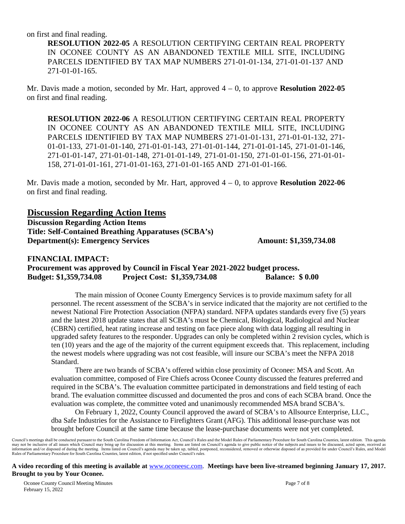on first and final reading.

**RESOLUTION 2022-05** A RESOLUTION CERTIFYING CERTAIN REAL PROPERTY IN OCONEE COUNTY AS AN ABANDONED TEXTILE MILL SITE, INCLUDING PARCELS IDENTIFIED BY TAX MAP NUMBERS 271-01-01-134, 271-01-01-137 AND 271-01-01-165.

Mr. Davis made a motion, seconded by Mr. Hart, approved 4 – 0, to approve **Resolution 2022-05** on first and final reading.

**RESOLUTION 2022-06** A RESOLUTION CERTIFYING CERTAIN REAL PROPERTY IN OCONEE COUNTY AS AN ABANDONED TEXTILE MILL SITE, INCLUDING PARCELS IDENTIFIED BY TAX MAP NUMBERS 271-01-01-131, 271-01-01-132, 271- 01-01-133, 271-01-01-140, 271-01-01-143, 271-01-01-144, 271-01-01-145, 271-01-01-146, 271-01-01-147, 271-01-01-148, 271-01-01-149, 271-01-01-150, 271-01-01-156, 271-01-01- 158, 271-01-01-161, 271-01-01-163, 271-01-01-165 AND 271-01-01-166.

Mr. Davis made a motion, seconded by Mr. Hart, approved 4 – 0, to approve **Resolution 2022-06**  on first and final reading.

## **Discussion Regarding Action Items**

**Discussion Regarding Action Items Title: Self-Contained Breathing Apparatuses (SCBA's) Department(s): Emergency Services Amount: \$1,359,734.08** 

### **FINANCIAL IMPACT: Procurement was approved by Council in Fiscal Year 2021-2022 budget process. Budget: \$1,359,734.08 Project Cost: \$1,359,734.08 Balance: \$ 0.00**

The main mission of Oconee County Emergency Services is to provide maximum safety for all personnel. The recent assessment of the SCBA's in service indicated that the majority are not certified to the newest National Fire Protection Association (NFPA) standard. NFPA updates standards every five (5) years and the latest 2018 update states that all SCBA's must be Chemical, Biological, Radiological and Nuclear (CBRN) certified, heat rating increase and testing on face piece along with data logging all resulting in upgraded safety features to the responder. Upgrades can only be completed within 2 revision cycles, which is ten (10) years and the age of the majority of the current equipment exceeds that. This replacement, including the newest models where upgrading was not cost feasible, will insure our SCBA's meet the NFPA 2018 Standard.

There are two brands of SCBA's offered within close proximity of Oconee: MSA and Scott. An evaluation committee, composed of Fire Chiefs across Oconee County discussed the features preferred and required in the SCBA's. The evaluation committee participated in demonstrations and field testing of each brand. The evaluation committee discussed and documented the pros and cons of each SCBA brand. Once the evaluation was complete, the committee voted and unanimously recommended MSA brand SCBA's.

On February 1, 2022, County Council approved the award of SCBA's to Allsource Enterprise, LLC., dba Safe Industries for the Assistance to Firefighters Grant (AFG). This additional lease-purchase was not brought before Council at the same time because the lease-purchase documents were not yet completed.

**A video recording of this meeting is available at** [www.oconeesc.com.](http://www.oconeesc.com/) **Meetings have been live-streamed beginning January 17, 2017. Brought to you by Your Oconee.**

Oconee County Council Meeting Minutes Page 7 of 8 February 15, 2022

Council's meetings shall be conducted pursuant to the South Carolina Freedom of Information Act, Council's Rules and the Model Rules of Parliamentary Procedure for South Carolina Counties, latest edition. This agenda may not be inclusive of all issues which Council may bring up for discussion at this meeting. Items are listed on Council's agenda to give public notice of the subjects and issues to be discussed, acted upon, received as<br>i Rules of Parliamentary Procedure for South Carolina Counties, latest edition, if not specified under Council's rules.